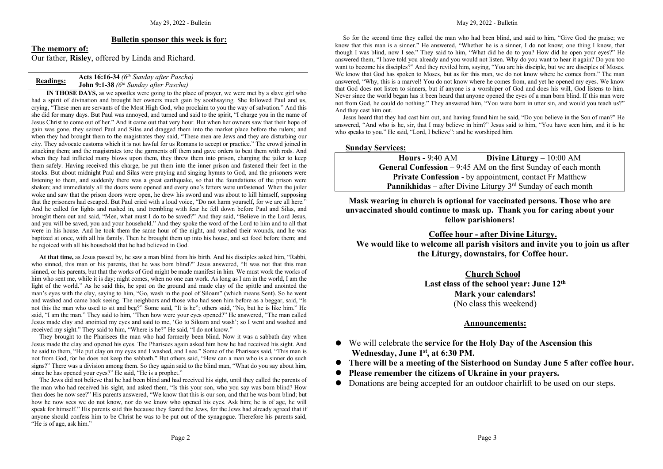### **Bulletin sponsor this week is for:**

**The memory of:** Our father, **Risley**, offered by Linda and Richard.

| <b>Readings:</b> | <b>Acts 16:16-34</b> ( $6^{th}$ Sunday after Pascha) |
|------------------|------------------------------------------------------|
|                  | <b>John 9:1-38</b> ( $6^{th}$ Sunday after Pascha)   |

**IN THOSE DAYS,** as we apostles were going to the place of prayer, we were met by a slave girl who had a spirit of divination and brought her owners much gain by soothsaying. She followed Paul and us, crying, "These men are servants of the Most High God, who proclaim to you the way of salvation." And this she did for many days. But Paul was annoyed, and turned and said to the spirit, "I charge you in the name of Jesus Christ to come out of her." And it came out that very hour. But when her owners saw that their hope of gain was gone, they seized Paul and Silas and dragged them into the market place before the rulers; and when they had brought them to the magistrates they said, "These men are Jews and they are disturbing our city. They advocate customs which it is not lawful for us Romans to accept or practice." The crowd joined in attacking them; and the magistrates tore the garments off them and gave orders to beat them with rods. And when they had inflicted many blows upon them, they threw them into prison, charging the jailer to keep them safely. Having received this charge, he put them into the inner prison and fastened their feet in the stocks. But about midnight Paul and Silas were praying and singing hymns to God, and the prisoners were listening to them, and suddenly there was a great earthquake, so that the foundations of the prison were shaken; and immediately all the doors were opened and every one's fetters were unfastened. When the jailer woke and saw that the prison doors were open, he drew his swordand was about to kill himself, supposing that the prisoners had escaped. But Paul cried with a loud voice, "Do not harm yourself, for we are all here." And he called for lights and rushed in, and trembling with fear he fell down before Paul and Silas, and brought them out and said, "Men, what must I do to be saved?" And they said, "Believe in the Lord Jesus, and you will be saved, you and your household." And they spoke the word of the Lord to him and to all that were in his house. And he took them the same hour of the night, and washed their wounds, and he was baptized at once, with all his family. Then he brought them up into his house, and set food before them; and he rejoiced with all his household that he had believed in God.

**At that time,** as Jesus passed by, he saw a man blind from his birth. And his disciples asked him, "Rabbi, who sinned, this man or his parents, that he was born blind?" Jesus answered, "It was not that this man sinned, or his parents, but that the works of God might be made manifest in him. We must work the works of him who sent me, while it is day; night comes, when no one can work. As long as I am in the world, I am the light of the world." As he said this, he spat on the ground and made clay of the spittle and anointed the man's eyes with the clay, saying to him, "Go, wash in the pool of Siloam" (which means Sent). So he went and washed and came back seeing. The neighbors and those who had seen him before as a beggar, said, "Is not this the man who used to sit and beg?" Some said, "It is he"; others said, "No, but he islike him." He said, "I am the man." They said to him, "Then how were your eyes opened?" He answered, "The man called Jesus made clay and anointed my eyesand said to me, 'Go to Siloam and wash'; so I went and washed and received my sight." They said to him, "Where is he?" He said, "I do not know."

They brought to the Pharisees the man who had formerly been blind. Now it was a sabbath day when Jesus made the clay and opened his eyes. The Pharisees again asked him how he had received his sight. And he said to them, "He put clay on my eyes and I washed, and I see." Some of the Pharisees said, "This man is not from God, for he does not keep the sabbath." But others said, "How can a man who is a sinner do such signs?" There was a division among them. So they again said to the blind man, "What do you say about him, since he has opened your eyes?" He said, "He is a prophet."

The Jews did not believe that he had been blind and had received his sight, until they called the parents of the man who had received his sight, and asked them, "Is this your son, who you say was born blind? How then doeshe now see?" His parents answered, "We know that this is our son, and that he was born blind; but how he now sees we do not know, nor do we know who opened his eyes. Ask him; he is of age, he will speak for himself." His parents said this because they feared the Jews, for the Jews had already agreed that if anyone should confess him to be Christ he was to be put outof the synagogue. Therefore his parents said, "He is ofage, ask him."

So for the second time they called the man who had been blind, and said to him, "Give God the praise; we know that this man is a sinner." He answered, "Whether he isa sinner, I do not know; one thing I know, that though I was blind, now I see." They said to him, "What did he do to you? How did he open your eyes?" He answered them, "I have told you already and you would notlisten. Why do you want to hear it again? Do you too want to become his disciples?" And they reviled him, saying, "You are his disciple, but we are disciples of Moses. We know that God has spoken to Moses, but as for this man, we do not know where he comes from." The man answered, "Why, this is a marvel! You do not know where he comes from, and yet he opened my eyes. We know that God doesnot listen to sinners, but if anyone isa worshiper of God and doeshis will, God listens to him. Never since the world began has it been heard that anyone opened the eyes of a man born blind. If this man were not from God, he could do nothing." They answered him, "You were born in uttersin, and would you teach us?" And they cast him out.

Jesus heard that they had cast him out, and having found him he said, "Doyou believe in the Son of man?" He answered, "And who is he, sir, that I may believe in him?" Jesus said to him, "You have seen him, and it is he who speaks to you." He said, "Lord, I believe": and he worshiped him.

#### **Sunday Services:**

| Hours - $9:40 \text{ AM}$                                              | Divine Liturgy $-10:00$ AM |  |
|------------------------------------------------------------------------|----------------------------|--|
| <b>General Confession</b> $-9:45$ AM on the first Sunday of each month |                            |  |
| <b>Private Confession - by appointment, contact Fr Matthew</b>         |                            |  |
| <b>Pannikhidas</b> – after Divine Liturgy $3rd$ Sunday of each month   |                            |  |

**Mask wearing in church is optional for vaccinated persons. Those who are unvaccinated should continue to mask up. Thank you for caring about your fellow parishioners!**

**Coffee hour - after Divine Liturgy. We would like to welcome all parish visitors and invite you tojoin us after the Liturgy, downstairs, for Coffee hour.**

> **Church School** Last class of the school year: June  $12<sup>th</sup>$ **th Mark your calendars!** (No class this weekend)

### **Announcements:**

- We will celebrate the **service for the Holy Day of the Ascension this Wednesday, June 1 st, at 6:30 PM.**
- **There will be a meeting of the Sisterhood on Sunday June 5 after coffee hour.**
- **Please remember the citizens of Ukraine in your prayers.**
- Donations are being accepted for an outdoor chairlift to be used on our steps.